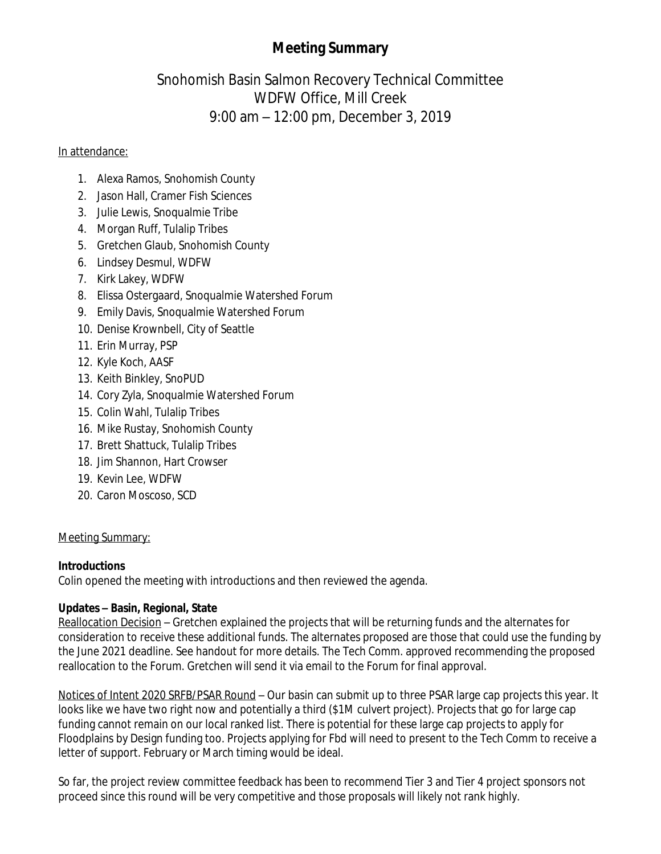# **Meeting Summary**

# Snohomish Basin Salmon Recovery Technical Committee WDFW Office, Mill Creek 9:00 am – 12:00 pm, December 3, 2019

#### In attendance:

- 1. Alexa Ramos, Snohomish County
- 2. Jason Hall, Cramer Fish Sciences
- 3. Julie Lewis, Snoqualmie Tribe
- 4. Morgan Ruff, Tulalip Tribes
- 5. Gretchen Glaub, Snohomish County
- 6. Lindsey Desmul, WDFW
- 7. Kirk Lakey, WDFW
- 8. Elissa Ostergaard, Snoqualmie Watershed Forum
- 9. Emily Davis, Snoqualmie Watershed Forum
- 10. Denise Krownbell, City of Seattle
- 11. Erin Murray, PSP
- 12. Kyle Koch, AASF
- 13. Keith Binkley, SnoPUD
- 14. Cory Zyla, Snoqualmie Watershed Forum
- 15. Colin Wahl, Tulalip Tribes
- 16. Mike Rustay, Snohomish County
- 17. Brett Shattuck, Tulalip Tribes
- 18. Jim Shannon, Hart Crowser
- 19. Kevin Lee, WDFW
- 20. Caron Moscoso, SCD

### Meeting Summary:

## **Introductions**

Colin opened the meeting with introductions and then reviewed the agenda.

## **Updates – Basin, Regional, State**

Reallocation Decision – Gretchen explained the projects that will be returning funds and the alternates for consideration to receive these additional funds. The alternates proposed are those that could use the funding by the June 2021 deadline. See handout for more details. The Tech Comm. approved recommending the proposed reallocation to the Forum. Gretchen will send it via email to the Forum for final approval.

Notices of Intent 2020 SRFB/PSAR Round – Our basin can submit up to three PSAR large cap projects this year. It looks like we have two right now and potentially a third (\$1M culvert project). Projects that go for large cap funding cannot remain on our local ranked list. There is potential for these large cap projects to apply for Floodplains by Design funding too. Projects applying for Fbd will need to present to the Tech Comm to receive a letter of support. February or March timing would be ideal.

So far, the project review committee feedback has been to recommend Tier 3 and Tier 4 project sponsors not proceed since this round will be very competitive and those proposals will likely not rank highly.